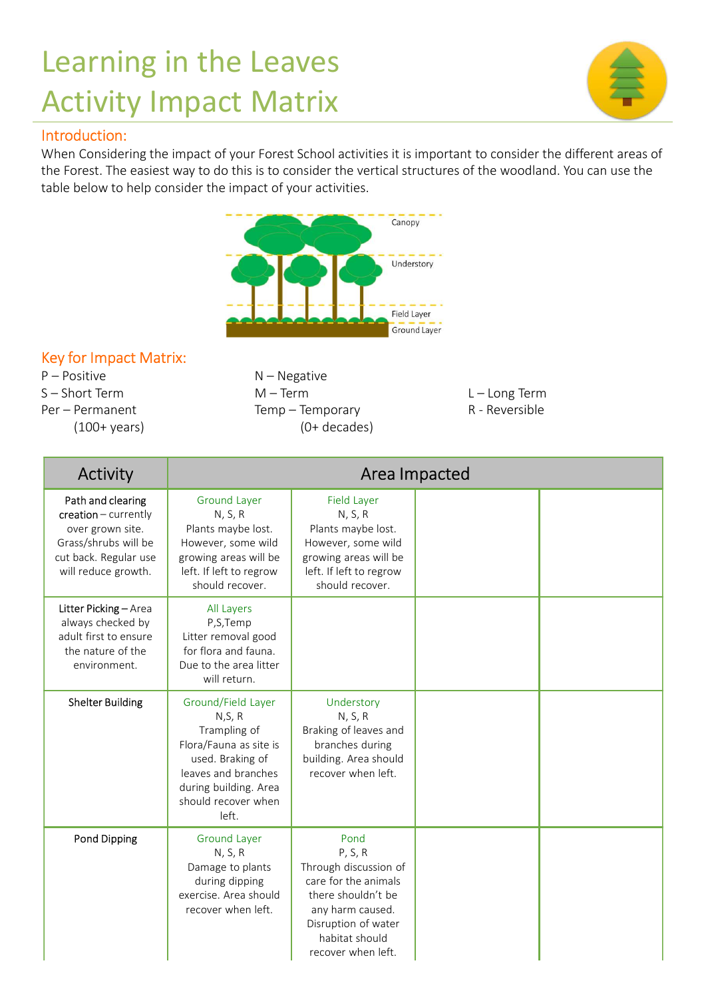## Learning in the Leaves Activity Impact Matrix

## Introduction:



## Key for Impact Matrix:

|                                            |                                             | Canopy                                      |                 |  |  |  |
|--------------------------------------------|---------------------------------------------|---------------------------------------------|-----------------|--|--|--|
|                                            |                                             | Understory                                  |                 |  |  |  |
|                                            |                                             |                                             |                 |  |  |  |
|                                            |                                             |                                             |                 |  |  |  |
|                                            |                                             | <b>Field Laver</b>                          | Ground Layer    |  |  |  |
| Key for Impact Matrix:                     |                                             |                                             |                 |  |  |  |
| P – Positive                               | $N - Negative$                              |                                             |                 |  |  |  |
| S – Short Term                             | $M - Term$                                  |                                             | $L - Long Term$ |  |  |  |
| Per – Permanent                            | Temp - Temporary                            |                                             | R - Reversible  |  |  |  |
| $(100 + \text{years})$                     |                                             | $(0+ decades)$                              |                 |  |  |  |
| Activity<br>Area Impacted                  |                                             |                                             |                 |  |  |  |
| Path and clearing                          | <b>Ground Layer</b>                         | <b>Field Layer</b>                          |                 |  |  |  |
| creation - currently                       | N, S, R                                     | N, S, R                                     |                 |  |  |  |
| over grown site.<br>Grass/shrubs will be   | Plants maybe lost.<br>However, some wild    | Plants maybe lost.<br>However, some wild    |                 |  |  |  |
| cut back. Regular use                      | growing areas will be                       | growing areas will be                       |                 |  |  |  |
| will reduce growth.                        | left. If left to regrow<br>should recover.  | left. If left to regrow<br>should recover.  |                 |  |  |  |
| Litter Picking - Area                      | All Layers                                  |                                             |                 |  |  |  |
| always checked by                          | P,S,Temp                                    |                                             |                 |  |  |  |
| adult first to ensure<br>the nature of the | Litter removal good<br>for flora and fauna. |                                             |                 |  |  |  |
| environment.                               | Due to the area litter                      |                                             |                 |  |  |  |
|                                            | will return.                                |                                             |                 |  |  |  |
| <b>Shelter Building</b>                    | Ground/Field Layer                          | Understory                                  |                 |  |  |  |
|                                            | N, S, R<br>Trampling of                     | N, S, R<br>Braking of leaves and            |                 |  |  |  |
|                                            | Flora/Fauna as site is                      | branches during                             |                 |  |  |  |
|                                            | used. Braking of<br>leaves and branches     | building. Area should<br>recover when left. |                 |  |  |  |
|                                            | during building. Area                       |                                             |                 |  |  |  |
|                                            | should recover when                         |                                             |                 |  |  |  |
|                                            | left.                                       |                                             |                 |  |  |  |
| Pond Dipping                               | <b>Ground Layer</b><br>N, S, R              | Pond<br>P, S, R                             |                 |  |  |  |
|                                            | Damage to plants                            | Through discussion of                       |                 |  |  |  |
|                                            | during dipping                              | care for the animals                        |                 |  |  |  |
|                                            | exercise. Area should<br>recover when left. | there shouldn't be<br>any harm caused.      |                 |  |  |  |
|                                            |                                             | Disruption of water                         |                 |  |  |  |
|                                            |                                             | habitat should<br>recover when left.        |                 |  |  |  |